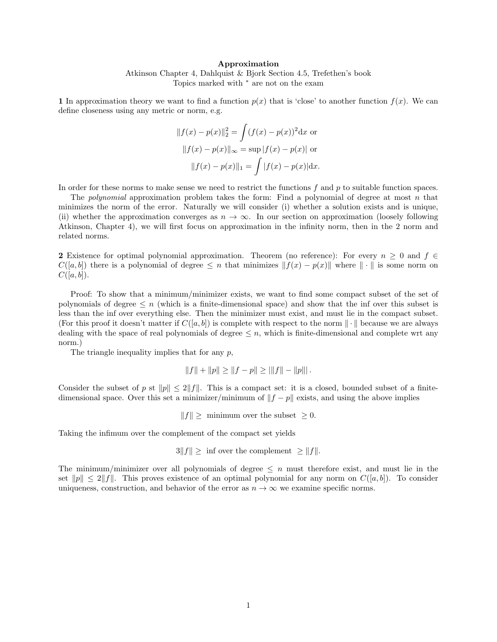#### Approximation

Atkinson Chapter 4, Dahlquist & Bjork Section 4.5, Trefethen's book Topics marked with <sup>∗</sup> are not on the exam

1 In approximation theory we want to find a function  $p(x)$  that is 'close' to another function  $f(x)$ . We can define closeness using any metric or norm, e.g.

$$
||f(x) - p(x)||_2^2 = \int (f(x) - p(x))^2 dx
$$
or  

$$
||f(x) - p(x)||_{\infty} = \sup |f(x) - p(x)|
$$
or  

$$
||f(x) - p(x)||_1 = \int |f(x) - p(x)| dx.
$$

In order for these norms to make sense we need to restrict the functions  $f$  and  $p$  to suitable function spaces.

The *polynomial* approximation problem takes the form: Find a polynomial of degree at most n that minimizes the norm of the error. Naturally we will consider (i) whether a solution exists and is unique, (ii) whether the approximation converges as  $n \to \infty$ . In our section on approximation (loosely following Atkinson, Chapter 4), we will first focus on approximation in the infinity norm, then in the 2 norm and related norms.

2 Existence for optimal polynomial approximation. Theorem (no reference): For every  $n \geq 0$  and  $f \in$  $C([a, b])$  there is a polynomial of degree  $\leq n$  that minimizes  $||f(x) - p(x)||$  where  $|| \cdot ||$  is some norm on  $C([a, b]).$ 

Proof: To show that a minimum/minimizer exists, we want to find some compact subset of the set of polynomials of degree  $\leq n$  (which is a finite-dimensional space) and show that the inf over this subset is less than the inf over everything else. Then the minimizer must exist, and must lie in the compact subset. (For this proof it doesn't matter if  $C([a, b])$  is complete with respect to the norm  $\|\cdot\|$  because we are always dealing with the space of real polynomials of degree  $\leq n$ , which is finite-dimensional and complete wrt any norm.)

The triangle inequality implies that for any  $p$ ,

$$
||f|| + ||p|| \ge ||f - p|| \ge ||f|| - ||p|||.
$$

Consider the subset of p st  $||p|| \le 2||f||$ . This is a compact set: it is a closed, bounded subset of a finitedimensional space. Over this set a minimizer/minimum of  $||f - p||$  exists, and using the above implies

 $||f|| \ge$  minimum over the subset  $\geq 0$ .

Taking the infimum over the complement of the compact set yields

 $3||f|| \geq$  inf over the complement  $\geq ||f||$ .

The minimum/minimizer over all polynomials of degree  $\leq n$  must therefore exist, and must lie in the set  $||p|| \le 2||f||$ . This proves existence of an optimal polynomial for any norm on  $C([a, b])$ . To consider uniqueness, construction, and behavior of the error as  $n \to \infty$  we examine specific norms.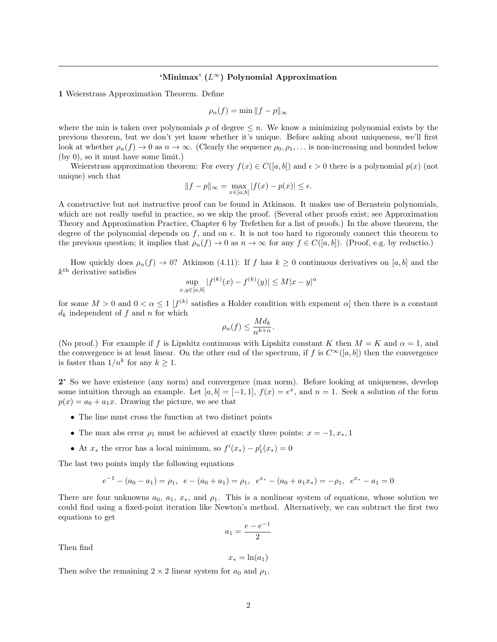## 'Minimax' (L∞) Polynomial Approximation

1 Weierstrass Approximation Theorem. Define

$$
\rho_n(f) = \min \|f - p\|_{\infty}
$$

where the min is taken over polynomials p of degree  $\leq n$ . We know a minimizing polynomial exists by the previous theorem, but we don't yet know whether it's unique. Before asking about uniqueness, we'll first look at whether  $\rho_n(f) \to 0$  as  $n \to \infty$ . (Clearly the sequence  $\rho_0, \rho_1, \ldots$  is non-increasing and bounded below (by 0), so it must have some limit.)

Weierstrass approximation theorem: For every  $f(x) \in C([a, b])$  and  $\epsilon > 0$  there is a polynomial  $p(x)$  (not unique) such that

$$
||f - p||_{\infty} = \max_{x \in [a, b]} |f(x) - p(x)| \le \epsilon.
$$

A constructive but not instructive proof can be found in Atkinson. It makes use of Bernstein polynomials, which are not really useful in practice, so we skip the proof. (Several other proofs exist; see Approximation Theory and Approximation Practice, Chapter 6 by Trefethen for a list of proofs.) In the above theorem, the degree of the polynomial depends on  $f$ , and on  $\epsilon$ . It is not too hard to rigorously connect this theorem to the previous question; it implies that  $\rho_n(f) \to 0$  as  $n \to \infty$  for any  $f \in C([a, b])$ . (Proof, e.g. by reductio.)

How quickly does  $\rho_n(f) \to 0$ ? Atkinson (4.11): If f has  $k \geq 0$  continuous derivatives on [a, b] and the  $k^{\text{th}}$  derivative satisfies

$$
\sup_{x,y \in [a,b]} |f^{(k)}(x) - f^{(k)}(y)| \le M|x - y|^{\alpha}
$$

for some  $M > 0$  and  $0 < \alpha \leq 1$  [ $f^{(k)}$  satisfies a Holder condition with exponent  $\alpha$ ] then there is a constant  $d_k$  independent of f and n for which

$$
\rho_n(f) \le \frac{Md_k}{n^{k+\alpha}}.
$$

(No proof.) For example if f is Lipshitz continuous with Lipshitz constant K then  $M = K$  and  $\alpha = 1$ , and the convergence is at least linear. On the other end of the spectrum, if f is  $C^{\infty}([a, b])$  then the convergence is faster than  $1/n^k$  for any  $k \geq 1$ .

2<sup>\*</sup> So we have existence (any norm) and convergence (max norm). Before looking at uniqueness, develop some intuition through an example. Let  $[a, b] = [-1, 1]$ ,  $f(x) = e^x$ , and  $n = 1$ . Seek a solution of the form  $p(x) = a_0 + a_1x$ . Drawing the picture, we see that

- The line must cross the function at two distinct points
- The max abs error  $\rho_1$  must be achieved at exactly three points:  $x = -1, x_*, 1$
- At  $x_*$  the error has a local minimum, so  $f'(x_*) p'_1(x_*) = 0$

The last two points imply the following equations

$$
e^{-1} - (a_0 - a_1) = \rho_1, \ \ e - (a_0 + a_1) = \rho_1, \ \ e^{x_*} - (a_0 + a_1 x_*) = -\rho_1, \ \ e^{x_*} - a_1 = 0
$$

There are four unknowns  $a_0, a_1, x_*$ , and  $\rho_1$ . This is a nonlinear system of equations, whose solution we could find using a fixed-point iteration like Newton's method. Alternatively, we can subtract the first two equations to get

$$
a_1 = \frac{e - e^{-1}}{2}
$$

Then find

 $x_* = \ln(a_1)$ 

Then solve the remaining  $2 \times 2$  linear system for  $a_0$  and  $\rho_1$ .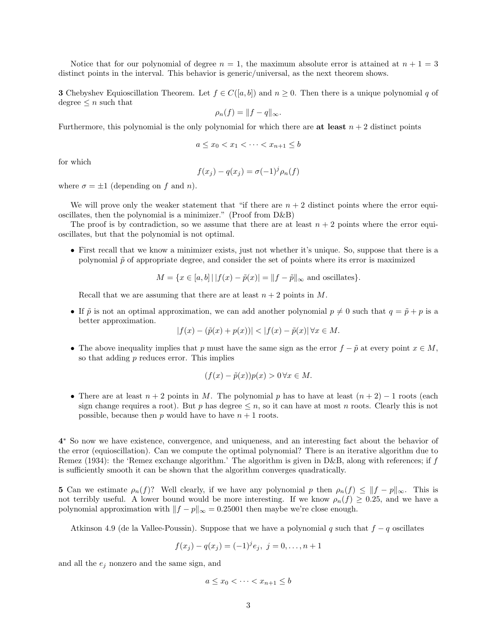Notice that for our polynomial of degree  $n = 1$ , the maximum absolute error is attained at  $n + 1 = 3$ distinct points in the interval. This behavior is generic/universal, as the next theorem shows.

**3** Chebyshev Equioscillation Theorem. Let  $f \in C([a, b])$  and  $n \ge 0$ . Then there is a unique polynomial q of degree  $\leq n$  such that

$$
\rho_n(f) = ||f - q||_{\infty}.
$$

Furthermore, this polynomial is the only polynomial for which there are at least  $n + 2$  distinct points

$$
a \le x_0 < x_1 < \dots < x_{n+1} \le b
$$

for which

$$
f(x_j) - q(x_j) = \sigma(-1)^j \rho_n(f)
$$

where  $\sigma = \pm 1$  (depending on f and n).

We will prove only the weaker statement that "if there are  $n + 2$  distinct points where the error equioscillates, then the polynomial is a minimizer." (Proof from D&B)

The proof is by contradiction, so we assume that there are at least  $n + 2$  points where the error equioscillates, but that the polynomial is not optimal.

• First recall that we know a minimizer exists, just not whether it's unique. So, suppose that there is a polynomial  $\tilde{p}$  of appropriate degree, and consider the set of points where its error is maximized

$$
M = \{ x \in [a, b] \mid |f(x) - \tilde{p}(x)| = \|f - \tilde{p}\|_{\infty} \text{ and oscillates} \}.
$$

Recall that we are assuming that there are at least  $n+2$  points in M.

• If  $\tilde{p}$  is not an optimal approximation, we can add another polynomial  $p \neq 0$  such that  $q = \tilde{p} + p$  is a better approximation.

$$
|f(x) - (\tilde{p}(x) + p(x))| < |f(x) - \tilde{p}(x)| \,\forall x \in M.
$$

• The above inequality implies that p must have the same sign as the error  $f - \tilde{p}$  at every point  $x \in M$ , so that adding p reduces error. This implies

$$
(f(x) - \tilde{p}(x))p(x) > 0 \,\forall x \in M.
$$

• There are at least  $n + 2$  points in M. The polynomial p has to have at least  $(n + 2) - 1$  roots (each sign change requires a root). But p has degree  $\leq n$ , so it can have at most n roots. Clearly this is not possible, because then p would have to have  $n + 1$  roots.

4 <sup>∗</sup> So now we have existence, convergence, and uniqueness, and an interesting fact about the behavior of the error (equioscillation). Can we compute the optimal polynomial? There is an iterative algorithm due to Remez (1934): the 'Remez exchange algorithm.' The algorithm is given in D&B, along with references; if f is sufficiently smooth it can be shown that the algorithm converges quadratically.

5 Can we estimate  $\rho_n(f)$ ? Well clearly, if we have any polynomial p then  $\rho_n(f) \leq ||f - p||_{\infty}$ . This is not terribly useful. A lower bound would be more interesting. If we know  $\rho_n(f) \geq 0.25$ , and we have a polynomial approximation with  $||f - p||_{\infty} = 0.25001$  then maybe we're close enough.

Atkinson 4.9 (de la Vallee-Poussin). Suppose that we have a polynomial q such that  $f - q$  oscillates

$$
f(x_j) - q(x_j) = (-1)^j e_j, \ j = 0, \dots, n+1
$$

and all the  $e_j$  nonzero and the same sign, and

$$
a \le x_0 < \dots < x_{n+1} \le b
$$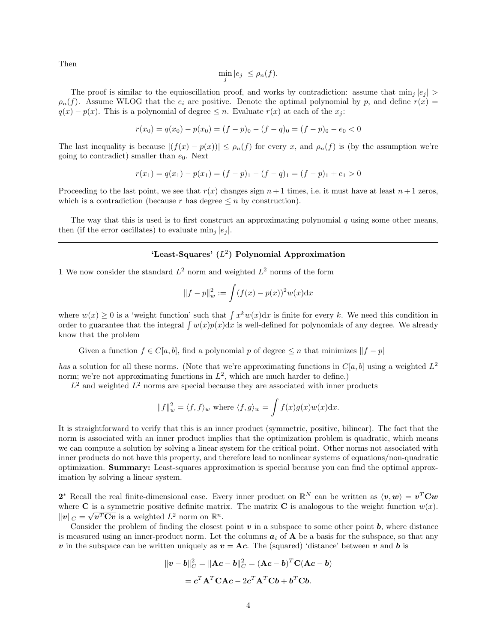Then

$$
\min_{j}|e_{j}| \leq \rho_{n}(f).
$$

The proof is similar to the equioscillation proof, and works by contradiction: assume that  $\min_i |e_i|$  $\rho_n(f)$ . Assume WLOG that the  $e_i$  are positive. Denote the optimal polynomial by p, and define  $r(x)$  $q(x) - p(x)$ . This is a polynomial of degree  $\leq n$ . Evaluate  $r(x)$  at each of the  $x_i$ .

$$
r(x_0) = q(x_0) - p(x_0) = (f - p)_0 - (f - q)_0 = (f - p)_0 - e_0 < 0
$$

The last inequality is because  $|(f(x) - p(x))| \leq \rho_n(f)$  for every x, and  $\rho_n(f)$  is (by the assumption we're going to contradict) smaller than  $e_0$ . Next

$$
r(x_1) = q(x_1) - p(x_1) = (f - p)_1 - (f - q)_1 = (f - p)_1 + e_1 > 0
$$

Proceeding to the last point, we see that  $r(x)$  changes sign  $n + 1$  times, i.e. it must have at least  $n + 1$  zeros, which is a contradiction (because r has degree  $\leq n$  by construction).

The way that this is used is to first construct an approximating polynomial q using some other means, then (if the error oscillates) to evaluate  $\min_i |e_i|$ .

# 'Least-Squares'  $(L^2)$  Polynomial Approximation

1 We now consider the standard  $L^2$  norm and weighted  $L^2$  norms of the form

$$
||f - p||_w^2 := \int (f(x) - p(x))^2 w(x) dx
$$

where  $w(x) \geq 0$  is a 'weight function' such that  $\int x^k w(x) dx$  is finite for every k. We need this condition in order to guarantee that the integral  $\int w(x)p(x)dx$  is well-defined for polynomials of any degree. We already know that the problem

Given a function  $f \in C[a, b]$ , find a polynomial p of degree  $\leq n$  that minimizes  $||f - p||$ 

has a solution for all these norms. (Note that we're approximating functions in  $C[a, b]$  using a weighted  $L^2$ norm; we're not approximating functions in  $L^2$ , which are much harder to define.)

 $L^2$  and weighted  $L^2$  norms are special because they are associated with inner products

$$
||f||_w^2 = \langle f, f \rangle_w
$$
 where  $\langle f, g \rangle_w = \int f(x)g(x)w(x)dx$ .

It is straightforward to verify that this is an inner product (symmetric, positive, bilinear). The fact that the norm is associated with an inner product implies that the optimization problem is quadratic, which means we can compute a solution by solving a linear system for the critical point. Other norms not associated with inner products do not have this property, and therefore lead to nonlinear systems of equations/non-quadratic optimization. Summary: Least-squares approximation is special because you can find the optimal approximation by solving a linear system.

2<sup>\*</sup> Recall the real finite-dimensional case. Every inner product on  $\mathbb{R}^N$  can be written as  $\langle v, w \rangle = v^T C w$ where **C** is a symmetric positive definite matrix. The matrix **C** is analogous to the weight function  $w(x)$ .  $\|\boldsymbol{v}\|_C = \sqrt{\boldsymbol{v}^T \mathbf{C} \boldsymbol{v}}$  is a weighted  $L^2$  norm on  $\mathbb{R}^n$ .

Consider the problem of finding the closest point  $v$  in a subspace to some other point  $b$ , where distance is measured using an inner-product norm. Let the columns  $a_i$  of **A** be a basis for the subspace, so that any v in the subspace can be written uniquely as  $v = Ac$ . The (squared) 'distance' between v and b is

$$
\|\boldsymbol{v} - \boldsymbol{b}\|_{C}^{2} = \|\mathbf{A}\boldsymbol{c} - \boldsymbol{b}\|_{C}^{2} = (\mathbf{A}\boldsymbol{c} - \boldsymbol{b})^{T}\mathbf{C}(\mathbf{A}\boldsymbol{c} - \boldsymbol{b})
$$

$$
= \boldsymbol{c}^{T}\mathbf{A}^{T}\mathbf{C}\mathbf{A}\boldsymbol{c} - 2\boldsymbol{c}^{T}\mathbf{A}^{T}\mathbf{C}\boldsymbol{b} + \boldsymbol{b}^{T}\mathbf{C}\boldsymbol{b}.
$$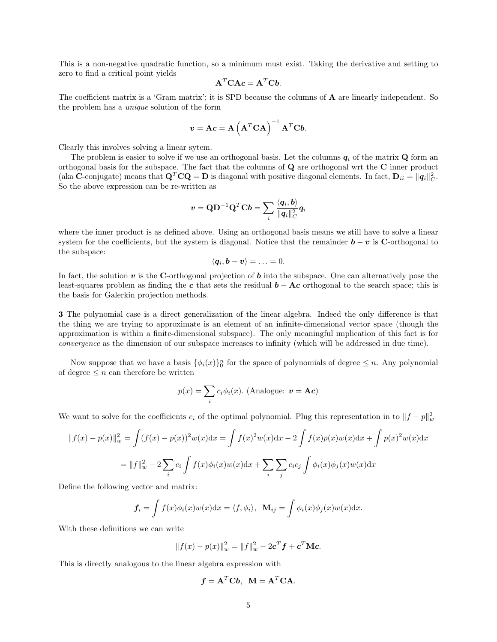This is a non-negative quadratic function, so a minimum must exist. Taking the derivative and setting to zero to find a critical point yields

$$
\mathbf{A}^T \mathbf{C} \mathbf{A} \mathbf{c} = \mathbf{A}^T \mathbf{C} \mathbf{b}.
$$

The coefficient matrix is a 'Gram matrix'; it is SPD because the columns of **A** are linearly independent. So the problem has a unique solution of the form

$$
\boldsymbol{v} = \mathbf{A}\boldsymbol{c} = \mathbf{A}\left(\mathbf{A}^T\mathbf{C}\mathbf{A}\right)^{-1}\mathbf{A}^T\mathbf{C}\boldsymbol{b}.
$$

Clearly this involves solving a linear sytem.

The problem is easier to solve if we use an orthogonal basis. Let the columns  $q_i$  of the matrix  $Q$  form an orthogonal basis for the subspace. The fact that the columns of Q are orthogonal wrt the C inner product (aka C-conjugate) means that  $\mathbf{Q}^T \mathbf{C} \mathbf{Q} = \mathbf{D}$  is diagonal with positive diagonal elements. In fact,  $\mathbf{D}_{ii} = ||\mathbf{q}_i||_C^2$ . So the above expression can be re-written as

$$
\boldsymbol{v} = \mathbf{Q}\mathbf{D}^{-1}\mathbf{Q}^T\mathbf{C}\boldsymbol{b} = \sum_i \frac{\langle \boldsymbol{q}_i, \boldsymbol{b} \rangle}{\|\boldsymbol{q}_i\|_C^2}\boldsymbol{q}_i
$$

where the inner product is as defined above. Using an orthogonal basis means we still have to solve a linear system for the coefficients, but the system is diagonal. Notice that the remainder  $\mathbf{b} - \mathbf{v}$  is C-orthogonal to the subspace:

$$
\langle \boldsymbol{q}_i, \boldsymbol{b} - \boldsymbol{v} \rangle = \ldots = 0.
$$

In fact, the solution  $v$  is the C-orthogonal projection of  $b$  into the subspace. One can alternatively pose the least-squares problem as finding the c that sets the residual  $\mathbf{b} - \mathbf{A}\mathbf{c}$  orthogonal to the search space; this is the basis for Galerkin projection methods.

3 The polynomial case is a direct generalization of the linear algebra. Indeed the only difference is that the thing we are trying to approximate is an element of an infinite-dimensional vector space (though the approximation is within a finite-dimensional subspace). The only meaningful implication of this fact is for convergence as the dimension of our subspace increases to infinity (which will be addressed in due time).

Now suppose that we have a basis  $\{\phi_i(x)\}_0^n$  for the space of polynomials of degree  $\leq n$ . Any polynomial of degree  $\leq n$  can therefore be written

$$
p(x) = \sum_{i} c_i \phi_i(x). \text{ (Analogue: } \mathbf{v} = \mathbf{A}\mathbf{c})
$$

We want to solve for the coefficients  $c_i$  of the optimal polynomial. Plug this representation in to  $||f - p||_w^2$ 

$$
||f(x) - p(x)||_{w}^{2} = \int (f(x) - p(x))^{2} w(x) dx = \int f(x)^{2} w(x) dx - 2 \int f(x)p(x)w(x) dx + \int p(x)^{2} w(x) dx
$$

$$
= ||f||_{w}^{2} - 2 \sum_{i} c_{i} \int f(x)\phi_{i}(x)w(x) dx + \sum_{i} \sum_{j} c_{i}c_{j} \int \phi_{i}(x)\phi_{j}(x)w(x) dx
$$

Define the following vector and matrix:

$$
\mathbf{f}_i = \int f(x)\phi_i(x)w(x)dx = \langle f, \phi_i \rangle, \ \ \mathbf{M}_{ij} = \int \phi_i(x)\phi_j(x)w(x)dx.
$$

With these definitions we can write

$$
||f(x) - p(x)||_{w}^{2} = ||f||_{w}^{2} - 2c^{T} f + c^{T} Mc.
$$

This is directly analogous to the linear algebra expression with

$$
f = A^T C b
$$
,  $M = A^T C A$ .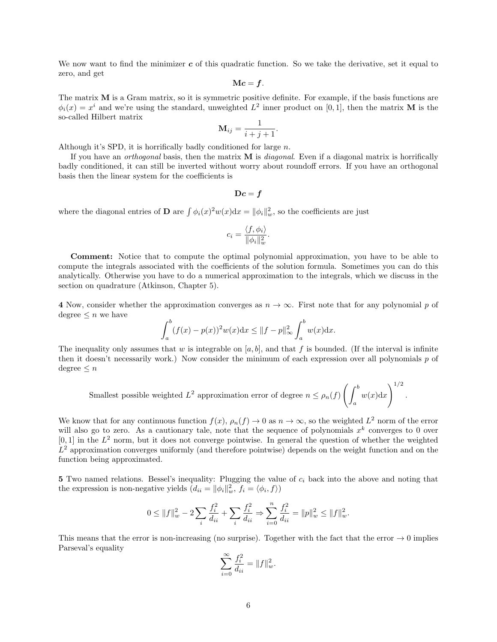We now want to find the minimizer  $c$  of this quadratic function. So we take the derivative, set it equal to zero, and get

$$
\mathbf{M} \boldsymbol{c} = \boldsymbol{f}.
$$

The matrix M is a Gram matrix, so it is symmetric positive definite. For example, if the basis functions are  $\phi_i(x) = x^i$  and we're using the standard, unweighted  $L^2$  inner product on [0,1], then the matrix **M** is the so-called Hilbert matrix

$$
\mathbf{M}_{ij} = \frac{1}{i+j+1}.
$$

Although it's SPD, it is horrifically badly conditioned for large n.

If you have an *orthogonal* basis, then the matrix  $\bf{M}$  is *diagonal*. Even if a diagonal matrix is horrifically badly conditioned, it can still be inverted without worry about roundoff errors. If you have an orthogonal basis then the linear system for the coefficients is

$$
\mathbf{D}c = f
$$

where the diagonal entries of **D** are  $\int \phi_i(x)^2 w(x) dx = ||\phi_i||_w^2$ , so the coefficients are just

$$
c_i = \frac{\langle f, \phi_i \rangle}{\|\phi_i\|_w^2}.
$$

Comment: Notice that to compute the optimal polynomial approximation, you have to be able to compute the integrals associated with the coefficients of the solution formula. Sometimes you can do this analytically. Otherwise you have to do a numerical approximation to the integrals, which we discuss in the section on quadrature (Atkinson, Chapter 5).

4 Now, consider whether the approximation converges as  $n \to \infty$ . First note that for any polynomial p of degree  $\leq n$  we have

$$
\int_{a}^{b} (f(x) - p(x))^{2} w(x) dx \le ||f - p||_{\infty}^{2} \int_{a}^{b} w(x) dx.
$$

The inequality only assumes that w is integrable on [a, b], and that f is bounded. (If the interval is infinite then it doesn't necessarily work.) Now consider the minimum of each expression over all polynomials  $p$  of  $degree < n$ 

Smallest possible weighted 
$$
L^2
$$
 approximation error of degree  $n \le \rho_n(f) \left( \int_a^b w(x) dx \right)^{1/2}$ .

We know that for any continuous function  $f(x)$ ,  $\rho_n(f) \to 0$  as  $n \to \infty$ , so the weighted  $L^2$  norm of the error will also go to zero. As a cautionary tale, note that the sequence of polynomials  $x^k$  converges to 0 over  $[0, 1]$  in the  $L^2$  norm, but it does not converge pointwise. In general the question of whether the weighted  $L<sup>2</sup>$  approximation converges uniformly (and therefore pointwise) depends on the weight function and on the function being approximated.

5 Two named relations. Bessel's inequality: Plugging the value of  $c_i$  back into the above and noting that the expression is non-negative yields  $(d_{ii} = ||\phi_i||_w^2, f_i = \langle \phi_i, f \rangle)$ 

$$
0\leq \|f\|_w^2-2\sum_i \frac{f_i^2}{d_{ii}}+\sum_i \frac{f_i^2}{d_{ii}}\Rightarrow \sum_{i=0}^n \frac{f_i^2}{d_{ii}}=\|p\|_w^2\leq \|f\|_w^2.
$$

This means that the error is non-increasing (no surprise). Together with the fact that the error  $\rightarrow 0$  implies Parseval's equality

$$
\sum_{i=0}^{\infty} \frac{f_i^2}{d_{ii}} = ||f||_w^2.
$$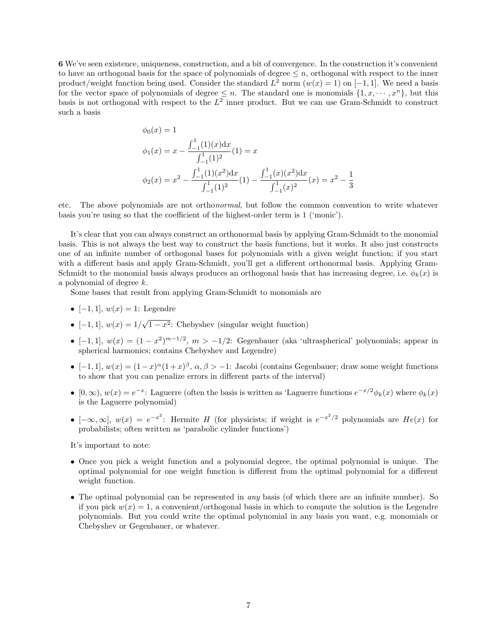6 We've seen existence, uniqueness, construction, and a bit of convergence. In the construction it's convenient to have an orthogonal basis for the space of polynomials of degree  $\leq n$ , orthogonal with respect to the inner product/weight function being used. Consider the standard  $L^2$  norm  $(w(x) = 1)$  on  $[-1, 1]$ . We need a basis for the vector space of polynomials of degree  $\leq n$ . The standard one is monomials  $\{1, x, \dots, x^n\}$ , but this basis is not orthogonal with respect to the  $L^2$  inner product. But we can use Gram-Schmidt to construct such a basis

$$
\phi_0(x) = 1
$$
  
\n
$$
\phi_1(x) = x - \frac{\int_{-1}^{1} (1)(x) dx}{\int_{-1}^{1} (1)^2} (1) = x
$$
  
\n
$$
\phi_2(x) = x^2 - \frac{\int_{-1}^{1} (1)(x^2) dx}{\int_{-1}^{1} (1)^2} (1) - \frac{\int_{-1}^{1} (x)(x^2) dx}{\int_{-1}^{1} (x)^2} (x) = x^2 - \frac{1}{3}
$$

etc. The above polynomials are not orthonormal, but follow the common convention to write whatever basis you're using so that the coefficient of the highest-order term is 1 ('monic').

It's clear that you can always construct an orthonormal basis by applying Gram-Schmidt to the monomial basis. This is not always the best way to construct the basis functions, but it works. It also just constructs one of an infinite number of orthogonal bases for polynomials with a given weight function; if you start with a different basis and apply Gram-Schmidt, you'll get a different orthonormal basis. Applying Gram-Schmidt to the monomial basis always produces an orthogonal basis that has increasing degree, i.e.  $\phi_k(x)$  is a polynomial of degree k.

Some bases that result from applying Gram-Schmidt to monomials are

- [-1, 1],  $w(x) = 1$ : Legendre
- $[-1, 1], w(x) = 1/$ √  $\overline{1-x^2}$ : Chebyshev (singular weight function)
- [-1,1],  $w(x) = (1-x^2)^{m-1/2}$ ,  $m > -1/2$ : Gegenbauer (aka 'ultraspherical' polynomials; appear in spherical harmonics; contains Chebyshev and Legendre)
- [-1, 1],  $w(x) = (1-x)^{\alpha}(1+x)^{\beta}, \alpha, \beta > -1$ : Jacobi (contains Gegenbauer; draw some weight functions to show that you can penalize errors in different parts of the interval)
- $[0,\infty)$ ,  $w(x) = e^{-x}$ : Laguerre (often the basis is written as 'Laguerre functions  $e^{-x/2}\phi_k(x)$  where  $\phi_k(x)$ is the Laguerre polynomial)
- $[-\infty,\infty], w(x) = e^{-x^2}$ : Hermite H (for physicists; if weight is  $e^{-x^2/2}$  polynomials are  $He(x)$  for probabilists; often written as 'parabolic cylinder functions')

It's important to note:

- Once you pick a weight function and a polynomial degree, the optimal polynomial is unique. The optimal polynomial for one weight function is different from the optimal polynomial for a different weight function.
- The optimal polynomial can be represented in *any* basis (of which there are an infinite number). So if you pick  $w(x) = 1$ , a convenient/orthogonal basis in which to compute the solution is the Legendre polynomials. But you could write the optimal polynomial in any basis you want, e.g. monomials or Chebyshev or Gegenbauer, or whatever.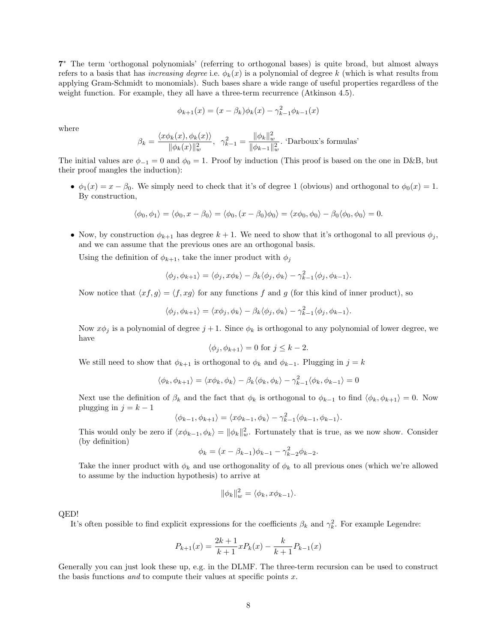7 <sup>∗</sup> The term 'orthogonal polynomials' (referring to orthogonal bases) is quite broad, but almost always refers to a basis that has *increasing degree* i.e.  $\phi_k(x)$  is a polynomial of degree k (which is what results from applying Gram-Schmidt to monomials). Such bases share a wide range of useful properties regardless of the weight function. For example, they all have a three-term recurrence (Atkinson 4.5).

$$
\phi_{k+1}(x) = (x - \beta_k)\phi_k(x) - \gamma_{k-1}^2\phi_{k-1}(x)
$$

where

$$
\beta_k = \frac{\langle x\phi_k(x), \phi_k(x)\rangle}{\|\phi_k(x)\|_{w}^2}, \ \ \gamma_{k-1}^2 = \frac{\|\phi_k\|_{w}^2}{\|\phi_{k-1}\|_{w}^2}.
$$
 'Darboux's formulas'

The initial values are  $\phi_{-1} = 0$  and  $\phi_0 = 1$ . Proof by induction (This proof is based on the one in D&B, but their proof mangles the induction):

•  $\phi_1(x) = x - \beta_0$ . We simply need to check that it's of degree 1 (obvious) and orthogonal to  $\phi_0(x) = 1$ . By construction,

$$
\langle \phi_0, \phi_1 \rangle = \langle \phi_0, x - \beta_0 \rangle = \langle \phi_0, (x - \beta_0) \phi_0 \rangle = \langle x \phi_0, \phi_0 \rangle - \beta_0 \langle \phi_0, \phi_0 \rangle = 0.
$$

• Now, by construction  $\phi_{k+1}$  has degree  $k+1$ . We need to show that it's orthogonal to all previous  $\phi_j$ , and we can assume that the previous ones are an orthogonal basis.

Using the definition of  $\phi_{k+1}$ , take the inner product with  $\phi_j$ 

$$
\langle \phi_j, \phi_{k+1} \rangle = \langle \phi_j, x \phi_k \rangle - \beta_k \langle \phi_j, \phi_k \rangle - \gamma_{k-1}^2 \langle \phi_j, \phi_{k-1} \rangle.
$$

Now notice that  $\langle x f, g \rangle = \langle f, xg \rangle$  for any functions f and g (for this kind of inner product), so

$$
\langle \phi_j, \phi_{k+1} \rangle = \langle x\phi_j, \phi_k \rangle - \beta_k \langle \phi_j, \phi_k \rangle - \gamma_{k-1}^2 \langle \phi_j, \phi_{k-1} \rangle.
$$

Now  $x\phi_j$  is a polynomial of degree  $j+1$ . Since  $\phi_k$  is orthogonal to any polynomial of lower degree, we have

$$
\langle \phi_j, \phi_{k+1} \rangle = 0 \text{ for } j \le k - 2.
$$

We still need to show that  $\phi_{k+1}$  is orthogonal to  $\phi_k$  and  $\phi_{k-1}$ . Plugging in  $j = k$ 

$$
\langle \phi_k, \phi_{k+1} \rangle = \langle x \phi_k, \phi_k \rangle - \beta_k \langle \phi_k, \phi_k \rangle - \gamma_{k-1}^2 \langle \phi_k, \phi_{k-1} \rangle = 0
$$

Next use the definition of  $\beta_k$  and the fact that  $\phi_k$  is orthogonal to  $\phi_{k-1}$  to find  $\langle \phi_k, \phi_{k+1} \rangle = 0$ . Now plugging in  $j = k - 1$ 

$$
\langle \phi_{k-1}, \phi_{k+1} \rangle = \langle x \phi_{k-1}, \phi_k \rangle - \gamma_{k-1}^2 \langle \phi_{k-1}, \phi_{k-1} \rangle.
$$

This would only be zero if  $\langle x\phi_{k-1}, \phi_k \rangle = ||\phi_k||_w^2$ . Fortunately that is true, as we now show. Consider (by definition)

$$
\phi_k = (x - \beta_{k-1})\phi_{k-1} - \gamma_{k-2}^2 \phi_{k-2}.
$$

Take the inner product with  $\phi_k$  and use orthogonality of  $\phi_k$  to all previous ones (which we're allowed to assume by the induction hypothesis) to arrive at

$$
\|\phi_k\|_w^2 = \langle \phi_k, x\phi_{k-1} \rangle.
$$

QED!

It's often possible to find explicit expressions for the coefficients  $\beta_k$  and  $\gamma_k^2$ . For example Legendre:

$$
P_{k+1}(x) = \frac{2k+1}{k+1}xP_k(x) - \frac{k}{k+1}P_{k-1}(x)
$$

Generally you can just look these up, e.g. in the DLMF. The three-term recursion can be used to construct the basis functions and to compute their values at specific points  $x$ .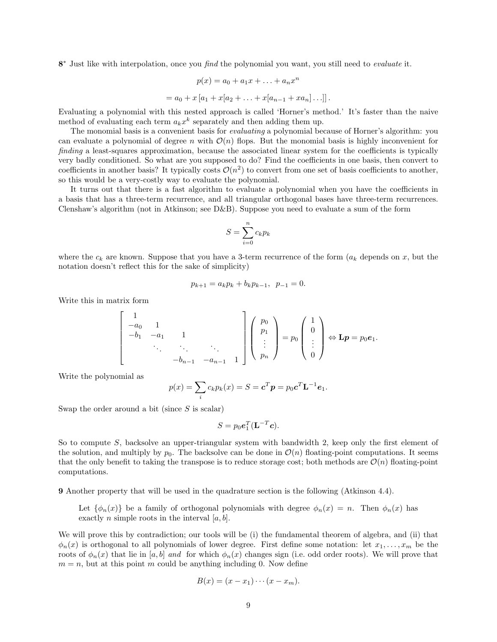8<sup>\*</sup> Just like with interpolation, once you find the polynomial you want, you still need to evaluate it.

$$
p(x) = a_0 + a_1 x + \dots + a_n x^n
$$
  
=  $a_0 + x [a_1 + x[a_2 + \dots + x[a_{n-1} + xa_n] \dots]]$ .

Evaluating a polynomial with this nested approach is called 'Horner's method.' It's faster than the naive method of evaluating each term  $a_k x^k$  separately and then adding them up.

The monomial basis is a convenient basis for *evaluating* a polynomial because of Horner's algorithm: you can evaluate a polynomial of degree n with  $\mathcal{O}(n)$  flops. But the monomial basis is highly inconvenient for finding a least-squares approximation, because the associated linear system for the coefficients is typically very badly conditioned. So what are you supposed to do? Find the coefficients in one basis, then convert to coefficients in another basis? It typically costs  $\mathcal{O}(n^2)$  to convert from one set of basis coefficients to another, so this would be a very-costly way to evaluate the polynomial.

It turns out that there is a fast algorithm to evaluate a polynomial when you have the coefficients in a basis that has a three-term recurrence, and all triangular orthogonal bases have three-term recurrences. Clenshaw's algorithm (not in Atkinson; see D&B). Suppose you need to evaluate a sum of the form

$$
S = \sum_{i=0}^{n} c_k p_k
$$

where the  $c_k$  are known. Suppose that you have a 3-term recurrence of the form  $(a_k$  depends on x, but the notation doesn't reflect this for the sake of simplicity)

$$
p_{k+1} = a_k p_k + b_k p_{k-1}, \ \ p_{-1} = 0.
$$

Write this in matrix form

$$
\begin{bmatrix} 1 & & & & \\ -a_0 & 1 & & & \\ -b_1 & -a_1 & 1 & & \\ & \ddots & \ddots & \ddots & \\ & & -b_{n-1} & -a_{n-1} & 1 \end{bmatrix} \begin{pmatrix} p_0 \\ p_1 \\ \vdots \\ p_n \end{pmatrix} = p_0 \begin{pmatrix} 1 \\ 0 \\ \vdots \\ 0 \end{pmatrix} \Leftrightarrow \mathbf{L}p = p_0 \mathbf{e}_1.
$$

Write the polynomial as

$$
p(x) = \sum_{i} c_k p_k(x) = S = \mathbf{c}^T \mathbf{p} = p_0 \mathbf{c}^T \mathbf{L}^{-1} \mathbf{e}_1.
$$

Swap the order around a bit (since  $S$  is scalar)

$$
S=p_0\mathbf{e}_1^T(\mathbf{L}^{-T}\mathbf{c}).
$$

So to compute S, backsolve an upper-triangular system with bandwidth 2, keep only the first element of the solution, and multiply by  $p_0$ . The backsolve can be done in  $\mathcal{O}(n)$  floating-point computations. It seems that the only benefit to taking the transpose is to reduce storage cost; both methods are  $\mathcal{O}(n)$  floating-point computations.

9 Another property that will be used in the quadrature section is the following (Atkinson 4.4).

Let  $\{\phi_n(x)\}\$ be a family of orthogonal polynomials with degree  $\phi_n(x) = n$ . Then  $\phi_n(x)$  has exactly *n* simple roots in the interval  $[a, b]$ .

We will prove this by contradiction; our tools will be (i) the fundamental theorem of algebra, and (ii) that  $\phi_n(x)$  is orthogonal to all polynomials of lower degree. First define some notation: let  $x_1, \ldots, x_m$  be the roots of  $\phi_n(x)$  that lie in [a, b] and for which  $\phi_n(x)$  changes sign (i.e. odd order roots). We will prove that  $m = n$ , but at this point m could be anything including 0. Now define

$$
B(x) = (x - x1) \cdots (x - xm).
$$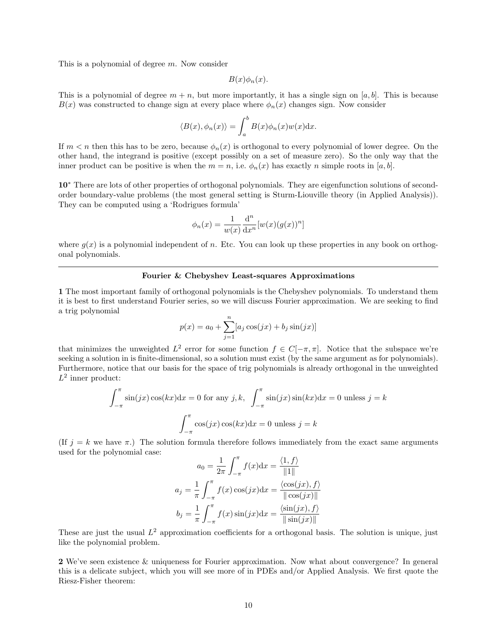This is a polynomial of degree m. Now consider

$$
B(x)\phi_n(x).
$$

This is a polynomial of degree  $m + n$ , but more importantly, it has a single sign on [a, b]. This is because  $B(x)$  was constructed to change sign at every place where  $\phi_n(x)$  changes sign. Now consider

$$
\langle B(x), \phi_n(x) \rangle = \int_a^b B(x) \phi_n(x) w(x) \mathrm{d}x.
$$

If  $m < n$  then this has to be zero, because  $\phi_n(x)$  is orthogonal to every polynomial of lower degree. On the other hand, the integrand is positive (except possibly on a set of measure zero). So the only way that the inner product can be positive is when the  $m = n$ , i.e.  $\phi_n(x)$  has exactly n simple roots in [a, b].

10<sup>∗</sup> There are lots of other properties of orthogonal polynomials. They are eigenfunction solutions of secondorder boundary-value problems (the most general setting is Sturm-Liouville theory (in Applied Analysis)). They can be computed using a 'Rodrigues formula'

$$
\phi_n(x) = \frac{1}{w(x)} \frac{\mathrm{d}^n}{\mathrm{d}x^n} [w(x)(g(x))^n]
$$

where  $g(x)$  is a polynomial independent of n. Etc. You can look up these properties in any book on orthogonal polynomials.

### Fourier & Chebyshev Least-squares Approximations

1 The most important family of orthogonal polynomials is the Chebyshev polynomials. To understand them it is best to first understand Fourier series, so we will discuss Fourier approximation. We are seeking to find a trig polynomial

$$
p(x) = a_0 + \sum_{j=1}^{n} [a_j \cos(jx) + b_j \sin(jx)]
$$

that minimizes the unweighted  $L^2$  error for some function  $f \in C[-\pi, \pi]$ . Notice that the subspace we're seeking a solution in is finite-dimensional, so a solution must exist (by the same argument as for polynomials). Furthermore, notice that our basis for the space of trig polynomials is already orthogonal in the unweighted  $L^2$  inner product:

$$
\int_{-\pi}^{\pi} \sin(jx)\cos(kx)dx = 0 \text{ for any } j, k, \quad \int_{-\pi}^{\pi} \sin(jx)\sin(kx)dx = 0 \text{ unless } j = k
$$

$$
\int_{-\pi}^{\pi} \cos(jx)\cos(kx)dx = 0 \text{ unless } j = k
$$

(If  $j = k$  we have  $\pi$ .) The solution formula therefore follows immediately from the exact same arguments used for the polynomial case:

$$
a_0 = \frac{1}{2\pi} \int_{-\pi}^{\pi} f(x) dx = \frac{\langle 1, f \rangle}{\|1\|}
$$

$$
a_j = \frac{1}{\pi} \int_{-\pi}^{\pi} f(x) \cos(jx) dx = \frac{\langle \cos(jx), f \rangle}{\|\cos(jx)\|}
$$

$$
b_j = \frac{1}{\pi} \int_{-\pi}^{\pi} f(x) \sin(jx) dx = \frac{\langle \sin(jx), f \rangle}{\|\sin(jx)\|}
$$

These are just the usual  $L^2$  approximation coefficients for a orthogonal basis. The solution is unique, just like the polynomial problem.

2 We've seen existence & uniqueness for Fourier approximation. Now what about convergence? In general this is a delicate subject, which you will see more of in PDEs and/or Applied Analysis. We first quote the Riesz-Fisher theorem: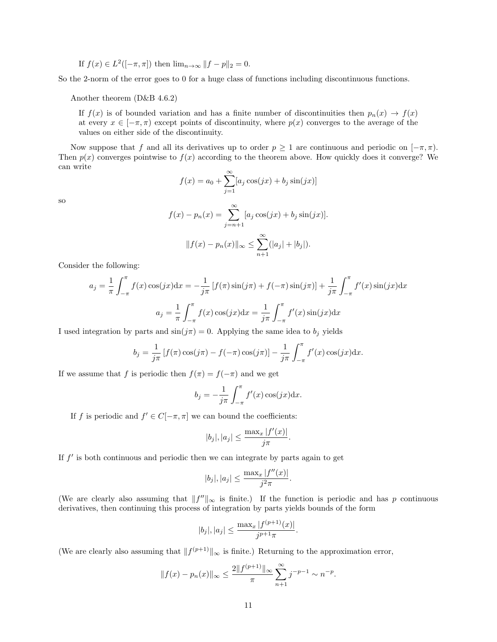If 
$$
f(x) \in L^2([-\pi,\pi])
$$
 then  $\lim_{n \to \infty} ||f - p||_2 = 0$ .

So the 2-norm of the error goes to 0 for a huge class of functions including discontinuous functions.

Another theorem (D&B 4.6.2)

If  $f(x)$  is of bounded variation and has a finite number of discontinuities then  $p_n(x) \to f(x)$ at every  $x \in [-\pi, \pi)$  except points of discontinuity, where  $p(x)$  converges to the average of the values on either side of the discontinuity.

Now suppose that f and all its derivatives up to order  $p \geq 1$  are continuous and periodic on  $[-\pi, \pi)$ . Then  $p(x)$  converges pointwise to  $f(x)$  according to the theorem above. How quickly does it converge? We can write

$$
f(x) = a_0 + \sum_{j=1}^{\infty} [a_j \cos(jx) + b_j \sin(jx)]
$$

so

$$
f(x) - p_n(x) = \sum_{j=n+1}^{\infty} [a_j \cos(jx) + b_j \sin(jx)].
$$
  

$$
||f(x) - p_n(x)||_{\infty} \le \sum_{n+1}^{\infty} (|a_j| + |b_j|).
$$

Consider the following:

$$
a_j = \frac{1}{\pi} \int_{-\pi}^{\pi} f(x) \cos(jx) dx = -\frac{1}{j\pi} \left[ f(\pi) \sin(j\pi) + f(-\pi) \sin(j\pi) \right] + \frac{1}{j\pi} \int_{-\pi}^{\pi} f'(x) \sin(jx) dx
$$

$$
a_j = \frac{1}{\pi} \int_{-\pi}^{\pi} f(x) \cos(jx) dx = \frac{1}{j\pi} \int_{-\pi}^{\pi} f'(x) \sin(jx) dx
$$

I used integration by parts and  $\sin(j\pi) = 0$ . Applying the same idea to  $b_j$  yields

$$
b_j = \frac{1}{j\pi} \left[ f(\pi) \cos(j\pi) - f(-\pi) \cos(j\pi) \right] - \frac{1}{j\pi} \int_{-\pi}^{\pi} f'(x) \cos(jx) dx.
$$

If we assume that f is periodic then  $f(\pi) = f(-\pi)$  and we get

$$
b_j = -\frac{1}{j\pi} \int_{-\pi}^{\pi} f'(x) \cos(jx) \mathrm{d}x.
$$

If f is periodic and  $f' \in C[-\pi, \pi]$  we can bound the coefficients:

$$
|b_j|, |a_j| \le \frac{\max_x |f'(x)|}{j\pi}.
$$

If  $f'$  is both continuous and periodic then we can integrate by parts again to get

$$
|b_j|, |a_j| \le \frac{\max_x |f''(x)|}{j^2 \pi}.
$$

(We are clearly also assuming that  $||f''||_{\infty}$  is finite.) If the function is periodic and has p continuous derivatives, then continuing this process of integration by parts yields bounds of the form

$$
|b_j|, |a_j| \le \frac{\max_x |f^{(p+1)}(x)|}{j^{p+1}\pi}.
$$

(We are clearly also assuming that  $||f^{(p+1)}||_{\infty}$  is finite.) Returning to the approximation error,

$$
||f(x) - p_n(x)||_{\infty} \le \frac{2||f^{(p+1)}||_{\infty}}{\pi} \sum_{n+1}^{\infty} j^{-p-1} \sim n^{-p}.
$$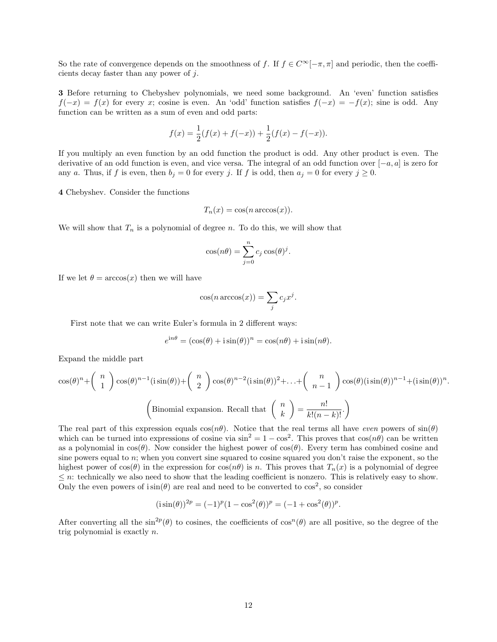So the rate of convergence depends on the smoothness of f. If  $f \in C^{\infty}[-\pi, \pi]$  and periodic, then the coefficients decay faster than any power of j.

3 Before returning to Chebyshev polynomials, we need some background. An 'even' function satisfies  $f(-x) = f(x)$  for every x; cosine is even. An 'odd' function satisfies  $f(-x) = -f(x)$ ; sine is odd. Any function can be written as a sum of even and odd parts:

$$
f(x) = \frac{1}{2}(f(x) + f(-x)) + \frac{1}{2}(f(x) - f(-x)).
$$

If you multiply an even function by an odd function the product is odd. Any other product is even. The derivative of an odd function is even, and vice versa. The integral of an odd function over [−a, a] is zero for any a. Thus, if f is even, then  $b_j = 0$  for every j. If f is odd, then  $a_j = 0$  for every  $j \ge 0$ .

4 Chebyshev. Consider the functions

$$
T_n(x) = \cos(n \arccos(x)).
$$

We will show that  $T_n$  is a polynomial of degree n. To do this, we will show that

$$
\cos(n\theta) = \sum_{j=0}^{n} c_j \cos(\theta)^j.
$$

If we let  $\theta = \arccos(x)$  then we will have

$$
\cos(n \arccos(x)) = \sum_j c_j x^j.
$$

First note that we can write Euler's formula in 2 different ways:

$$
e^{in\theta} = (\cos(\theta) + i\sin(\theta))^n = \cos(n\theta) + i\sin(n\theta).
$$

Expand the middle part

cos(θ) <sup>n</sup>+ n 1 cos(θ) n−1 (i sin(θ))+ n 2 cos(θ) n−2 (i sin(θ))2+. . .+ n n − 1 cos(θ)(i sin(θ))n−1+(i sin(θ))<sup>n</sup> . Binomial expansion. Recall that n k = n! <sup>k</sup>!(<sup>n</sup> <sup>−</sup> <sup>k</sup>)!. 

The real part of this expression equals  $cos(n\theta)$ . Notice that the real terms all have *even* powers of  $sin(\theta)$ which can be turned into expressions of cosine via  $\sin^2 = 1 - \cos^2$ . This proves that  $\cos(n\theta)$  can be written as a polynomial in  $cos(\theta)$ . Now consider the highest power of  $cos(\theta)$ . Every term has combined cosine and sine powers equal to n; when you convert sine squared to cosine squared you don't raise the exponent, so the highest power of  $cos(\theta)$  in the expression for  $cos(n\theta)$  is n. This proves that  $T_n(x)$  is a polynomial of degree  $\leq n$ : technically we also need to show that the leading coefficient is nonzero. This is relatively easy to show. Only the even powers of  $\sin(\theta)$  are real and need to be converted to  $\cos^2$ , so consider

$$
(i\sin(\theta))^{2p} = (-1)^p (1 - \cos^2(\theta))^p = (-1 + \cos^2(\theta))^p.
$$

After converting all the  $\sin^{2p}(\theta)$  to cosines, the coefficients of  $\cos^{n}(\theta)$  are all positive, so the degree of the trig polynomial is exactly n.